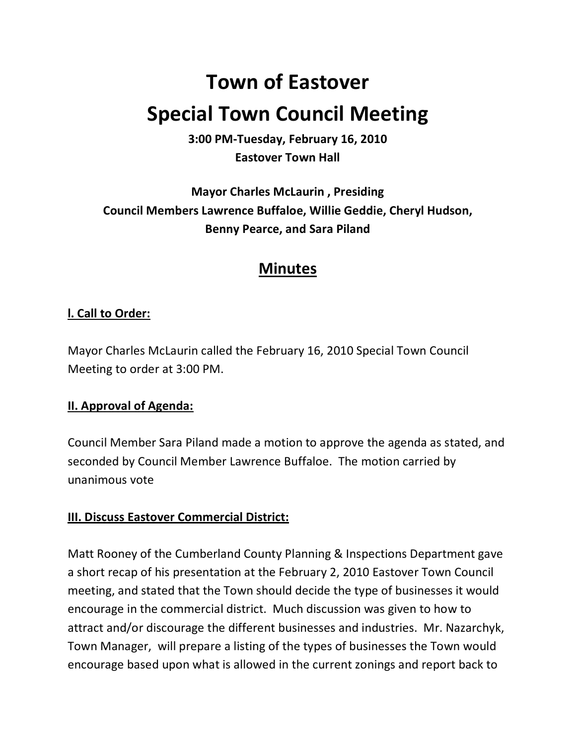# **Town of Eastover Special Town Council Meeting**

**3:00 PM-Tuesday, February 16, 2010 Eastover Town Hall** 

**Mayor Charles McLaurin , Presiding Council Members Lawrence Buffaloe, Willie Geddie, Cheryl Hudson, Benny Pearce, and Sara Piland** 

# **Minutes**

# **l. Call to Order:**

Mayor Charles McLaurin called the February 16, 2010 Special Town Council Meeting to order at 3:00 PM.

# **II. Approval of Agenda:**

Council Member Sara Piland made a motion to approve the agenda as stated, and seconded by Council Member Lawrence Buffaloe. The motion carried by unanimous vote

# **III. Discuss Eastover Commercial District:**

Matt Rooney of the Cumberland County Planning & Inspections Department gave a short recap of his presentation at the February 2, 2010 Eastover Town Council meeting, and stated that the Town should decide the type of businesses it would encourage in the commercial district. Much discussion was given to how to attract and/or discourage the different businesses and industries. Mr. Nazarchyk, Town Manager, will prepare a listing of the types of businesses the Town would encourage based upon what is allowed in the current zonings and report back to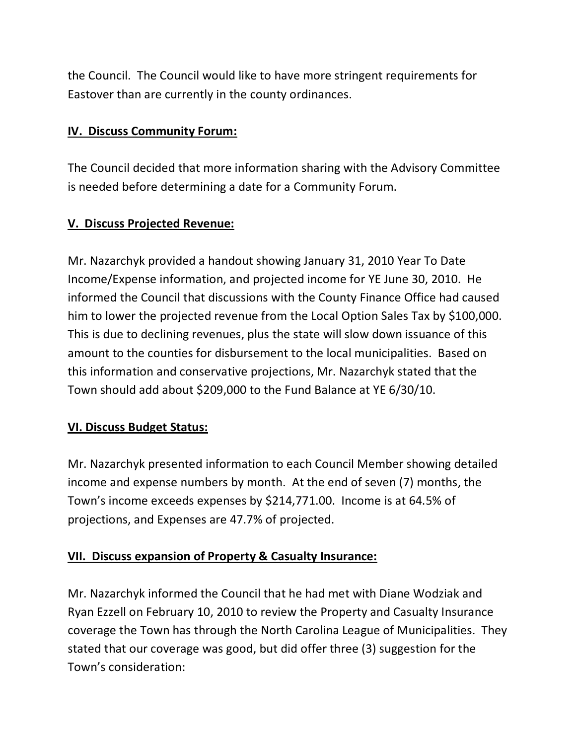the Council. The Council would like to have more stringent requirements for Eastover than are currently in the county ordinances.

# **IV. Discuss Community Forum:**

The Council decided that more information sharing with the Advisory Committee is needed before determining a date for a Community Forum.

# **V. Discuss Projected Revenue:**

Mr. Nazarchyk provided a handout showing January 31, 2010 Year To Date Income/Expense information, and projected income for YE June 30, 2010. He informed the Council that discussions with the County Finance Office had caused him to lower the projected revenue from the Local Option Sales Tax by \$100,000. This is due to declining revenues, plus the state will slow down issuance of this amount to the counties for disbursement to the local municipalities. Based on this information and conservative projections, Mr. Nazarchyk stated that the Town should add about \$209,000 to the Fund Balance at YE 6/30/10.

# **VI. Discuss Budget Status:**

Mr. Nazarchyk presented information to each Council Member showing detailed income and expense numbers by month. At the end of seven (7) months, the Town's income exceeds expenses by \$214,771.00. Income is at 64.5% of projections, and Expenses are 47.7% of projected.

# **VII. Discuss expansion of Property & Casualty Insurance:**

Mr. Nazarchyk informed the Council that he had met with Diane Wodziak and Ryan Ezzell on February 10, 2010 to review the Property and Casualty Insurance coverage the Town has through the North Carolina League of Municipalities. They stated that our coverage was good, but did offer three (3) suggestion for the Town's consideration: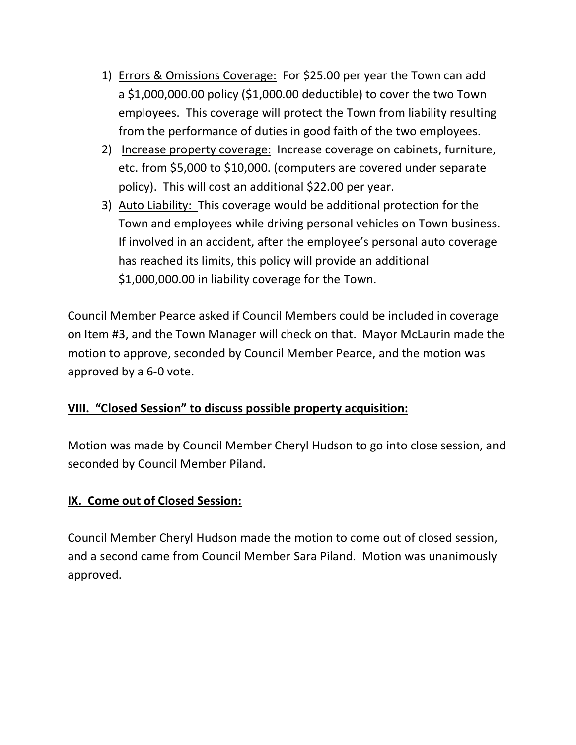- 1) Errors & Omissions Coverage: For \$25.00 per year the Town can add a \$1,000,000.00 policy (\$1,000.00 deductible) to cover the two Town employees. This coverage will protect the Town from liability resulting from the performance of duties in good faith of the two employees.
- 2) Increase property coverage: Increase coverage on cabinets, furniture, etc. from \$5,000 to \$10,000. (computers are covered under separate policy). This will cost an additional \$22.00 per year.
- 3) Auto Liability: This coverage would be additional protection for the Town and employees while driving personal vehicles on Town business. If involved in an accident, after the employee's personal auto coverage has reached its limits, this policy will provide an additional \$1,000,000.00 in liability coverage for the Town.

Council Member Pearce asked if Council Members could be included in coverage on Item #3, and the Town Manager will check on that. Mayor McLaurin made the motion to approve, seconded by Council Member Pearce, and the motion was approved by a 6-0 vote.

# **VIII. "Closed Session" to discuss possible property acquisition:**

Motion was made by Council Member Cheryl Hudson to go into close session, and seconded by Council Member Piland.

# **IX. Come out of Closed Session:**

Council Member Cheryl Hudson made the motion to come out of closed session, and a second came from Council Member Sara Piland. Motion was unanimously approved.